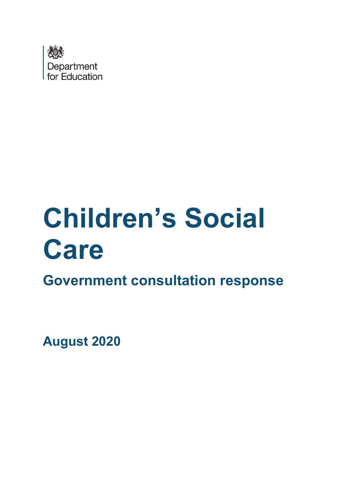

# **Children's Social Care**

**Government consultation response**

**August 2020**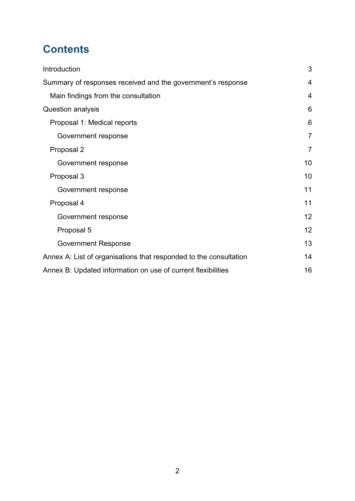# **Contents**

| Introduction                                                      | 3              |
|-------------------------------------------------------------------|----------------|
| Summary of responses received and the government's response       | $\overline{4}$ |
| Main findings from the consultation                               | $\overline{4}$ |
| Question analysis                                                 | 6              |
| Proposal 1: Medical reports                                       | 6              |
| Government response                                               | $\overline{7}$ |
| Proposal 2                                                        | $\overline{7}$ |
| Government response                                               | 10             |
| Proposal 3                                                        | 10             |
| Government response                                               | 11             |
| Proposal 4                                                        | 11             |
| Government response                                               | 12             |
| Proposal 5                                                        | 12             |
| <b>Government Response</b>                                        | 13             |
| Annex A: List of organisations that responded to the consultation | 14             |
| Annex B: Updated information on use of current flexibilities      | 16             |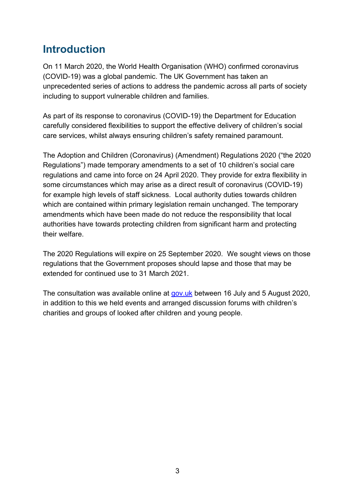# <span id="page-2-0"></span>**Introduction**

On 11 March 2020, the World Health Organisation (WHO) confirmed coronavirus (COVID-19) was a global pandemic. The UK Government has taken an unprecedented series of actions to address the pandemic across all parts of society including to support vulnerable children and families.

As part of its response to coronavirus (COVID-19) the Department for Education carefully considered flexibilities to support the effective delivery of children's social care services, whilst always ensuring children's safety remained paramount.

The Adoption and Children (Coronavirus) (Amendment) Regulations 2020 ("the 2020 Regulations") made temporary amendments to a set of 10 children's social care regulations and came into force on 24 April 2020. They provide for extra flexibility in some circumstances which may arise as a direct result of coronavirus (COVID-19) for example high levels of staff sickness. Local authority duties towards children which are contained within primary legislation remain unchanged. The temporary amendments which have been made do not reduce the responsibility that local authorities have towards protecting children from significant harm and protecting their welfare.

The 2020 Regulations will expire on 25 September 2020. We sought views on those regulations that the Government proposes should lapse and those that may be extended for continued use to 31 March 2021.

The consultation was available online at [gov.uk](https://www.gov.uk/government/consultations/changes-to-the-adoption-and-children-regulations-coronavirus-covid-19) between 16 July and 5 August 2020, in addition to this we held events and arranged discussion forums with children's charities and groups of looked after children and young people.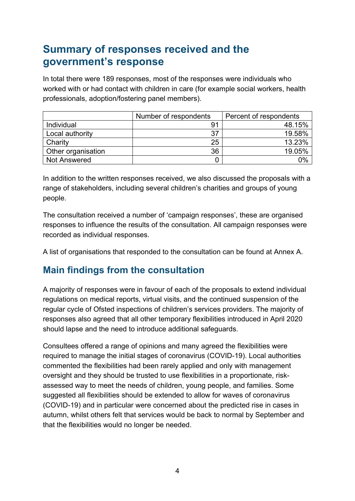# <span id="page-3-0"></span>**Summary of responses received and the government's response**

In total there were 189 responses, most of the responses were individuals who worked with or had contact with children in care (for example social workers, health professionals, adoption/fostering panel members).

|                    | Number of respondents | Percent of respondents |
|--------------------|-----------------------|------------------------|
| Individual         | 91                    | 48.15%                 |
| Local authority    | 37                    | 19.58%                 |
| Charity            | 25                    | 13.23%                 |
| Other organisation | 36                    | 19.05%                 |
| Not Answered       | 0                     | 0%                     |

In addition to the written responses received, we also discussed the proposals with a range of stakeholders, including several children's charities and groups of young people.

The consultation received a number of 'campaign responses', these are organised responses to influence the results of the consultation. All campaign responses were recorded as individual responses.

A list of organisations that responded to the consultation can be found at Annex A.

## <span id="page-3-1"></span>**Main findings from the consultation**

A majority of responses were in favour of each of the proposals to extend individual regulations on medical reports, virtual visits, and the continued suspension of the regular cycle of Ofsted inspections of children's services providers. The majority of responses also agreed that all other temporary flexibilities introduced in April 2020 should lapse and the need to introduce additional safeguards.

Consultees offered a range of opinions and many agreed the flexibilities were required to manage the initial stages of coronavirus (COVID-19). Local authorities commented the flexibilities had been rarely applied and only with management oversight and they should be trusted to use flexibilities in a proportionate, riskassessed way to meet the needs of children, young people, and families. Some suggested all flexibilities should be extended to allow for waves of coronavirus (COVID-19) and in particular were concerned about the predicted rise in cases in autumn, whilst others felt that services would be back to normal by September and that the flexibilities would no longer be needed.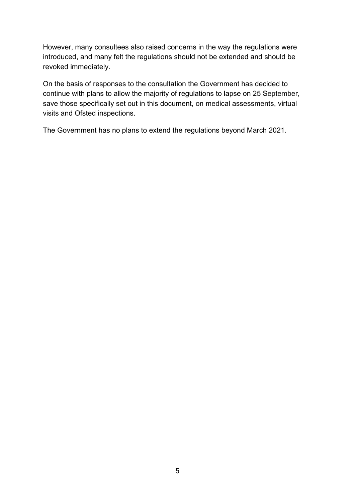However, many consultees also raised concerns in the way the regulations were introduced, and many felt the regulations should not be extended and should be revoked immediately.

On the basis of responses to the consultation the Government has decided to continue with plans to allow the majority of regulations to lapse on 25 September, save those specifically set out in this document, on medical assessments, virtual visits and Ofsted inspections.

The Government has no plans to extend the regulations beyond March 2021.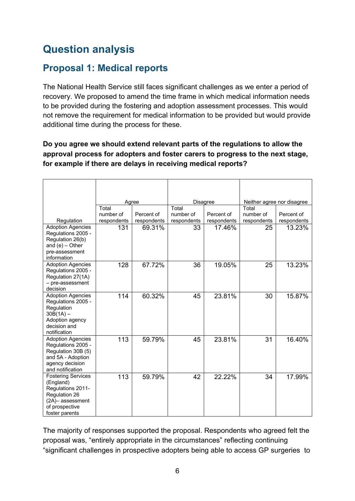# <span id="page-5-0"></span>**Question analysis**

## <span id="page-5-1"></span>**Proposal 1: Medical reports**

The National Health Service still faces significant challenges as we enter a period of recovery. We proposed to amend the time frame in which medical information needs to be provided during the fostering and adoption assessment processes. This would not remove the requirement for medical information to be provided but would provide additional time during the process for these.

## **Do you agree we should extend relevant parts of the regulations to allow the approval process for adopters and foster carers to progress to the next stage, for example if there are delays in receiving medical reports?**

|                                         |                    | Agree                 |                   | Disagree              |                   | Neither agree nor disagree |
|-----------------------------------------|--------------------|-----------------------|-------------------|-----------------------|-------------------|----------------------------|
|                                         | Total              |                       | Total             |                       | Total             |                            |
| Regulation                              | number of          | Percent of            | number of         | Percent of            | number of         | Percent of                 |
| <b>Adoption Agencies</b>                | respondents<br>131 | respondents<br>69.31% | respondents<br>33 | respondents<br>17.46% | respondents<br>25 | respondents<br>13.23%      |
| Regulations 2005 -                      |                    |                       |                   |                       |                   |                            |
| Regulation 26(b)                        |                    |                       |                   |                       |                   |                            |
| and $(e)$ - Other                       |                    |                       |                   |                       |                   |                            |
| pre-assessment<br>information           |                    |                       |                   |                       |                   |                            |
| <b>Adoption Agencies</b>                | 128                | 67.72%                | 36                | 19.05%                | 25                | 13.23%                     |
| Regulations 2005 -                      |                    |                       |                   |                       |                   |                            |
| Regulation 27(1A)                       |                    |                       |                   |                       |                   |                            |
| - pre-assessment<br>decision            |                    |                       |                   |                       |                   |                            |
| <b>Adoption Agencies</b>                | 114                | 60.32%                | 45                | 23.81%                | 30                | 15.87%                     |
| Regulations 2005 -                      |                    |                       |                   |                       |                   |                            |
| Regulation                              |                    |                       |                   |                       |                   |                            |
| $30B(1A) -$                             |                    |                       |                   |                       |                   |                            |
| Adoption agency<br>decision and         |                    |                       |                   |                       |                   |                            |
| notification                            |                    |                       |                   |                       |                   |                            |
| <b>Adoption Agencies</b>                | 113                | 59.79%                | 45                | 23.81%                | 31                | 16.40%                     |
| Regulations 2005 -                      |                    |                       |                   |                       |                   |                            |
| Regulation 30B (5)<br>and 5A - Adoption |                    |                       |                   |                       |                   |                            |
| agency decision                         |                    |                       |                   |                       |                   |                            |
| and notification                        |                    |                       |                   |                       |                   |                            |
| <b>Fostering Services</b>               | 113                | 59.79%                | 42                | 22.22%                | 34                | 17.99%                     |
| (England)                               |                    |                       |                   |                       |                   |                            |
| Regulations 2011-<br>Regulation 26      |                    |                       |                   |                       |                   |                            |
| (2A)- assessment                        |                    |                       |                   |                       |                   |                            |
| of prospective                          |                    |                       |                   |                       |                   |                            |
| foster parents                          |                    |                       |                   |                       |                   |                            |

The majority of responses supported the proposal. Respondents who agreed felt the proposal was, "entirely appropriate in the circumstances" reflecting continuing "significant challenges in prospective adopters being able to access GP surgeries to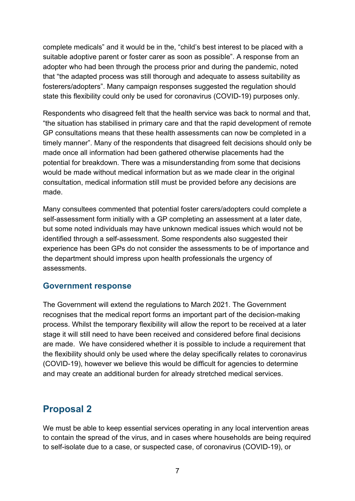complete medicals" and it would be in the, "child's best interest to be placed with a suitable adoptive parent or foster carer as soon as possible". A response from an adopter who had been through the process prior and during the pandemic, noted that "the adapted process was still thorough and adequate to assess suitability as fosterers/adopters". Many campaign responses suggested the regulation should state this flexibility could only be used for coronavirus (COVID-19) purposes only.

Respondents who disagreed felt that the health service was back to normal and that, "the situation has stabilised in primary care and that the rapid development of remote GP consultations means that these health assessments can now be completed in a timely manner". Many of the respondents that disagreed felt decisions should only be made once all information had been gathered otherwise placements had the potential for breakdown. There was a misunderstanding from some that decisions would be made without medical information but as we made clear in the original consultation, medical information still must be provided before any decisions are made.

Many consultees commented that potential foster carers/adopters could complete a self-assessment form initially with a GP completing an assessment at a later date, but some noted individuals may have unknown medical issues which would not be identified through a self-assessment. Some respondents also suggested their experience has been GPs do not consider the assessments to be of importance and the department should impress upon health professionals the urgency of assessments.

#### <span id="page-6-0"></span>**Government response**

The Government will extend the regulations to March 2021. The Government recognises that the medical report forms an important part of the decision-making process. Whilst the temporary flexibility will allow the report to be received at a later stage it will still need to have been received and considered before final decisions are made. We have considered whether it is possible to include a requirement that the flexibility should only be used where the delay specifically relates to coronavirus (COVID-19), however we believe this would be difficult for agencies to determine and may create an additional burden for already stretched medical services.

## <span id="page-6-1"></span>**Proposal 2**

We must be able to keep essential services operating in any local intervention areas to contain the spread of the virus, and in cases where households are being required to self-isolate due to a case, or suspected case, of coronavirus (COVID-19), or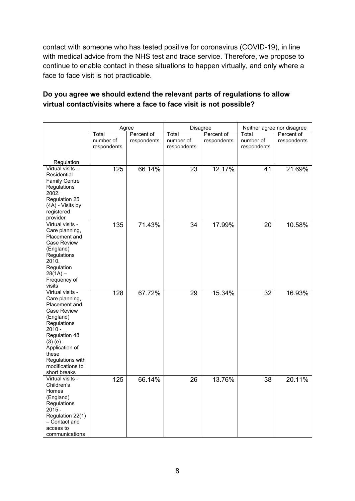contact with someone who has tested positive for coronavirus (COVID-19), in line with medical advice from the NHS test and trace service. Therefore, we propose to continue to enable contact in these situations to happen virtually, and only where a face to face visit is not practicable.

#### **Do you agree we should extend the relevant parts of regulations to allow virtual contact/visits where a face to face visit is not possible?**

| Disagree<br>Agree<br>Neither agree nor disagree<br>Percent of<br>Total<br>Percent of<br>Total<br>Percent of<br>Total<br>number of<br>respondents<br>number of<br>respondents<br>number of<br>respondents<br>respondents<br>respondents<br>respondents<br>Regulation<br>Virtual visits -<br>125<br>66.14%<br>23<br>12.17%<br>41<br>21.69%<br>Residential<br><b>Family Centre</b><br>Regulations<br>2002.<br>Regulation 25<br>(4A) - Visits by<br>registered<br>provider<br>Virtual visits -<br>71.43%<br>135<br>34<br>17.99%<br>10.58%<br>20<br>Care planning, |
|---------------------------------------------------------------------------------------------------------------------------------------------------------------------------------------------------------------------------------------------------------------------------------------------------------------------------------------------------------------------------------------------------------------------------------------------------------------------------------------------------------------------------------------------------------------|
|                                                                                                                                                                                                                                                                                                                                                                                                                                                                                                                                                               |
|                                                                                                                                                                                                                                                                                                                                                                                                                                                                                                                                                               |
|                                                                                                                                                                                                                                                                                                                                                                                                                                                                                                                                                               |
|                                                                                                                                                                                                                                                                                                                                                                                                                                                                                                                                                               |
|                                                                                                                                                                                                                                                                                                                                                                                                                                                                                                                                                               |
|                                                                                                                                                                                                                                                                                                                                                                                                                                                                                                                                                               |
|                                                                                                                                                                                                                                                                                                                                                                                                                                                                                                                                                               |
|                                                                                                                                                                                                                                                                                                                                                                                                                                                                                                                                                               |
|                                                                                                                                                                                                                                                                                                                                                                                                                                                                                                                                                               |
|                                                                                                                                                                                                                                                                                                                                                                                                                                                                                                                                                               |
|                                                                                                                                                                                                                                                                                                                                                                                                                                                                                                                                                               |
|                                                                                                                                                                                                                                                                                                                                                                                                                                                                                                                                                               |
|                                                                                                                                                                                                                                                                                                                                                                                                                                                                                                                                                               |
|                                                                                                                                                                                                                                                                                                                                                                                                                                                                                                                                                               |
|                                                                                                                                                                                                                                                                                                                                                                                                                                                                                                                                                               |
| Placement and                                                                                                                                                                                                                                                                                                                                                                                                                                                                                                                                                 |
| Case Review                                                                                                                                                                                                                                                                                                                                                                                                                                                                                                                                                   |
| (England)                                                                                                                                                                                                                                                                                                                                                                                                                                                                                                                                                     |
| Regulations                                                                                                                                                                                                                                                                                                                                                                                                                                                                                                                                                   |
| 2010.                                                                                                                                                                                                                                                                                                                                                                                                                                                                                                                                                         |
| Regulation                                                                                                                                                                                                                                                                                                                                                                                                                                                                                                                                                    |
| $28(1A) -$                                                                                                                                                                                                                                                                                                                                                                                                                                                                                                                                                    |
| Frequency of<br>visits                                                                                                                                                                                                                                                                                                                                                                                                                                                                                                                                        |
| Virtual visits -<br>128<br>67.72%<br>15.34%<br>29<br>32<br>16.93%                                                                                                                                                                                                                                                                                                                                                                                                                                                                                             |
| Care planning,                                                                                                                                                                                                                                                                                                                                                                                                                                                                                                                                                |
| Placement and                                                                                                                                                                                                                                                                                                                                                                                                                                                                                                                                                 |
| Case Review                                                                                                                                                                                                                                                                                                                                                                                                                                                                                                                                                   |
| (England)                                                                                                                                                                                                                                                                                                                                                                                                                                                                                                                                                     |
| Regulations                                                                                                                                                                                                                                                                                                                                                                                                                                                                                                                                                   |
| $2010 -$                                                                                                                                                                                                                                                                                                                                                                                                                                                                                                                                                      |
| Regulation 48                                                                                                                                                                                                                                                                                                                                                                                                                                                                                                                                                 |
| $(3)$ (e) -                                                                                                                                                                                                                                                                                                                                                                                                                                                                                                                                                   |
| Application of<br>these                                                                                                                                                                                                                                                                                                                                                                                                                                                                                                                                       |
| Regulations with                                                                                                                                                                                                                                                                                                                                                                                                                                                                                                                                              |
| modifications to                                                                                                                                                                                                                                                                                                                                                                                                                                                                                                                                              |
| short breaks                                                                                                                                                                                                                                                                                                                                                                                                                                                                                                                                                  |
| Virtual visits -<br>13.76%<br>125<br>66.14%<br>26<br>38<br>20.11%                                                                                                                                                                                                                                                                                                                                                                                                                                                                                             |
| Children's                                                                                                                                                                                                                                                                                                                                                                                                                                                                                                                                                    |
| Homes                                                                                                                                                                                                                                                                                                                                                                                                                                                                                                                                                         |
| (England)                                                                                                                                                                                                                                                                                                                                                                                                                                                                                                                                                     |
| Regulations                                                                                                                                                                                                                                                                                                                                                                                                                                                                                                                                                   |
| $2015 -$                                                                                                                                                                                                                                                                                                                                                                                                                                                                                                                                                      |
| Regulation 22(1)                                                                                                                                                                                                                                                                                                                                                                                                                                                                                                                                              |
| - Contact and<br>access to                                                                                                                                                                                                                                                                                                                                                                                                                                                                                                                                    |
| communications                                                                                                                                                                                                                                                                                                                                                                                                                                                                                                                                                |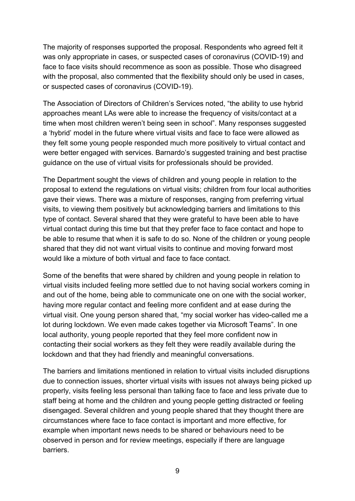The majority of responses supported the proposal. Respondents who agreed felt it was only appropriate in cases, or suspected cases of coronavirus (COVID-19) and face to face visits should recommence as soon as possible. Those who disagreed with the proposal, also commented that the flexibility should only be used in cases. or suspected cases of coronavirus (COVID-19).

The Association of Directors of Children's Services noted, "the ability to use hybrid approaches meant LAs were able to increase the frequency of visits/contact at a time when most children weren't being seen in school". Many responses suggested a 'hybrid' model in the future where virtual visits and face to face were allowed as they felt some young people responded much more positively to virtual contact and were better engaged with services. Barnardo's suggested training and best practise guidance on the use of virtual visits for professionals should be provided.

The Department sought the views of children and young people in relation to the proposal to extend the regulations on virtual visits; children from four local authorities gave their views. There was a mixture of responses, ranging from preferring virtual visits, to viewing them positively but acknowledging barriers and limitations to this type of contact. Several shared that they were grateful to have been able to have virtual contact during this time but that they prefer face to face contact and hope to be able to resume that when it is safe to do so. None of the children or young people shared that they did not want virtual visits to continue and moving forward most would like a mixture of both virtual and face to face contact.

Some of the benefits that were shared by children and young people in relation to virtual visits included feeling more settled due to not having social workers coming in and out of the home, being able to communicate one on one with the social worker, having more regular contact and feeling more confident and at ease during the virtual visit. One young person shared that, "my social worker has video-called me a lot during lockdown. We even made cakes together via Microsoft Teams". In one local authority, young people reported that they feel more confident now in contacting their social workers as they felt they were readily available during the lockdown and that they had friendly and meaningful conversations.

The barriers and limitations mentioned in relation to virtual visits included disruptions due to connection issues, shorter virtual visits with issues not always being picked up properly, visits feeling less personal than talking face to face and less private due to staff being at home and the children and young people getting distracted or feeling disengaged. Several children and young people shared that they thought there are circumstances where face to face contact is important and more effective, for example when important news needs to be shared or behaviours need to be observed in person and for review meetings, especially if there are language barriers.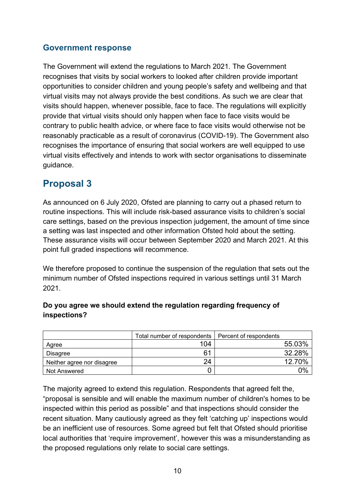## <span id="page-9-0"></span>**Government response**

The Government will extend the regulations to March 2021. The Government recognises that visits by social workers to looked after children provide important opportunities to consider children and young people's safety and wellbeing and that virtual visits may not always provide the best conditions. As such we are clear that visits should happen, whenever possible, face to face. The regulations will explicitly provide that virtual visits should only happen when face to face visits would be contrary to public health advice, or where face to face visits would otherwise not be reasonably practicable as a result of coronavirus (COVID-19). The Government also recognises the importance of ensuring that social workers are well equipped to use virtual visits effectively and intends to work with sector organisations to disseminate guidance.

## <span id="page-9-1"></span>**Proposal 3**

As announced on 6 July 2020, Ofsted are planning to carry out a phased return to routine inspections. This will include risk-based assurance visits to children's social care settings, based on the previous inspection judgement, the amount of time since a setting was last inspected and other information Ofsted hold about the setting. These assurance visits will occur between September 2020 and March 2021. At this point full graded inspections will recommence.

We therefore proposed to continue the suspension of the regulation that sets out the minimum number of Ofsted inspections required in various settings until 31 March 2021.

## **Do you agree we should extend the regulation regarding frequency of inspections?**

|                            | Total number of respondents   Percent of respondents |        |
|----------------------------|------------------------------------------------------|--------|
| Agree                      | 104                                                  | 55.03% |
| Disagree                   | 61                                                   | 32.28% |
| Neither agree nor disagree | 24                                                   | 12.70% |
| Not Answered               |                                                      | 0%     |

The majority agreed to extend this regulation. Respondents that agreed felt the, "proposal is sensible and will enable the maximum number of children's homes to be inspected within this period as possible" and that inspections should consider the recent situation. Many cautiously agreed as they felt 'catching up' inspections would be an inefficient use of resources. Some agreed but felt that Ofsted should prioritise local authorities that 'require improvement', however this was a misunderstanding as the proposed regulations only relate to social care settings.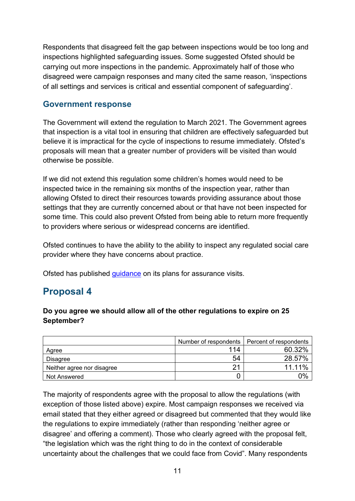Respondents that disagreed felt the gap between inspections would be too long and inspections highlighted safeguarding issues. Some suggested Ofsted should be carrying out more inspections in the pandemic. Approximately half of those who disagreed were campaign responses and many cited the same reason, 'inspections of all settings and services is critical and essential component of safeguarding'.

#### <span id="page-10-0"></span>**Government response**

The Government will extend the regulation to March 2021. The Government agrees that inspection is a vital tool in ensuring that children are effectively safeguarded but believe it is impractical for the cycle of inspections to resume immediately. Ofsted's proposals will mean that a greater number of providers will be visited than would otherwise be possible.

If we did not extend this regulation some children's homes would need to be inspected twice in the remaining six months of the inspection year, rather than allowing Ofsted to direct their resources towards providing assurance about those settings that they are currently concerned about or that have not been inspected for some time. This could also prevent Ofsted from being able to return more frequently to providers where serious or widespread concerns are identified.

Ofsted continues to have the ability to the ability to inspect any regulated social care provider where they have concerns about practice.

Ofsted has published [guidance](https://www.gov.uk/government/collections/social-care-common-inspection-framework-sccif) on its plans for assurance visits.

## <span id="page-10-1"></span>**Proposal 4**

#### **Do you agree we should allow all of the other regulations to expire on 25 September?**

|                            | Number of respondents   Percent of respondents |        |
|----------------------------|------------------------------------------------|--------|
| Agree                      | 114                                            | 60.32% |
| Disagree                   | 54                                             | 28.57% |
| Neither agree nor disagree | 21                                             | 11.11% |
| Not Answered               |                                                | 0%     |

The majority of respondents agree with the proposal to allow the regulations (with exception of those listed above) expire. Most campaign responses we received via email stated that they either agreed or disagreed but commented that they would like the regulations to expire immediately (rather than responding 'neither agree or disagree' and offering a comment). Those who clearly agreed with the proposal felt, "the legislation which was the right thing to do in the context of considerable uncertainty about the challenges that we could face from Covid". Many respondents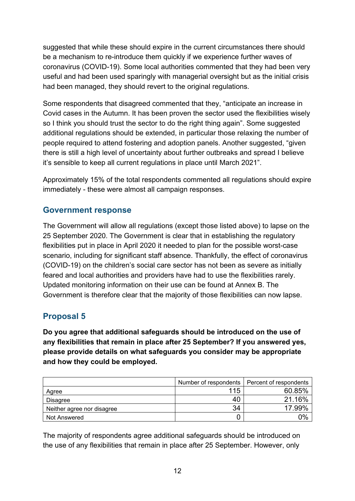suggested that while these should expire in the current circumstances there should be a mechanism to re-introduce them quickly if we experience further waves of coronavirus (COVID-19). Some local authorities commented that they had been very useful and had been used sparingly with managerial oversight but as the initial crisis had been managed, they should revert to the original regulations.

Some respondents that disagreed commented that they, "anticipate an increase in Covid cases in the Autumn. It has been proven the sector used the flexibilities wisely so I think you should trust the sector to do the right thing again". Some suggested additional regulations should be extended, in particular those relaxing the number of people required to attend fostering and adoption panels. Another suggested, "given there is still a high level of uncertainty about further outbreaks and spread I believe it's sensible to keep all current regulations in place until March 2021".

Approximately 15% of the total respondents commented all regulations should expire immediately - these were almost all campaign responses.

## <span id="page-11-0"></span>**Government response**

The Government will allow all regulations (except those listed above) to lapse on the 25 September 2020. The Government is clear that in establishing the regulatory flexibilities put in place in April 2020 it needed to plan for the possible worst-case scenario, including for significant staff absence. Thankfully, the effect of coronavirus (COVID-19) on the children's social care sector has not been as severe as initially feared and local authorities and providers have had to use the flexibilities rarely. Updated monitoring information on their use can be found at Annex B. The Government is therefore clear that the majority of those flexibilities can now lapse.

## <span id="page-11-1"></span>**Proposal 5**

**Do you agree that additional safeguards should be introduced on the use of any flexibilities that remain in place after 25 September? If you answered yes, please provide details on what safeguards you consider may be appropriate and how they could be employed.** 

|                            | Number of respondents | Percent of respondents |
|----------------------------|-----------------------|------------------------|
| Agree                      | 115                   | 60.85%                 |
| Disagree                   | 40                    | 21.16%                 |
| Neither agree nor disagree | 34                    | 17.99%                 |
| Not Answered               |                       | 0%                     |

The majority of respondents agree additional safeguards should be introduced on the use of any flexibilities that remain in place after 25 September. However, only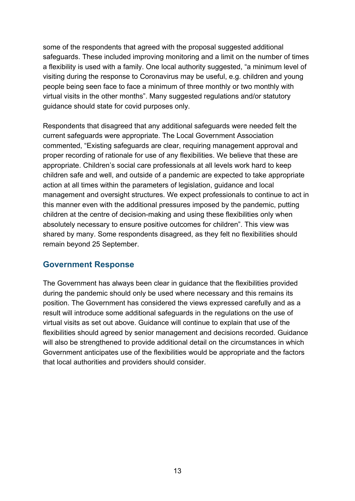some of the respondents that agreed with the proposal suggested additional safeguards. These included improving monitoring and a limit on the number of times a flexibility is used with a family. One local authority suggested, "a minimum level of visiting during the response to Coronavirus may be useful, e.g. children and young people being seen face to face a minimum of three monthly or two monthly with virtual visits in the other months". Many suggested regulations and/or statutory guidance should state for covid purposes only.

Respondents that disagreed that any additional safeguards were needed felt the current safeguards were appropriate. The Local Government Association commented, "Existing safeguards are clear, requiring management approval and proper recording of rationale for use of any flexibilities. We believe that these are appropriate. Children's social care professionals at all levels work hard to keep children safe and well, and outside of a pandemic are expected to take appropriate action at all times within the parameters of legislation, guidance and local management and oversight structures. We expect professionals to continue to act in this manner even with the additional pressures imposed by the pandemic, putting children at the centre of decision-making and using these flexibilities only when absolutely necessary to ensure positive outcomes for children". This view was shared by many. Some respondents disagreed, as they felt no flexibilities should remain beyond 25 September.

#### <span id="page-12-0"></span>**Government Response**

The Government has always been clear in guidance that the flexibilities provided during the pandemic should only be used where necessary and this remains its position. The Government has considered the views expressed carefully and as a result will introduce some additional safeguards in the regulations on the use of virtual visits as set out above. Guidance will continue to explain that use of the flexibilities should agreed by senior management and decisions recorded. Guidance will also be strengthened to provide additional detail on the circumstances in which Government anticipates use of the flexibilities would be appropriate and the factors that local authorities and providers should consider.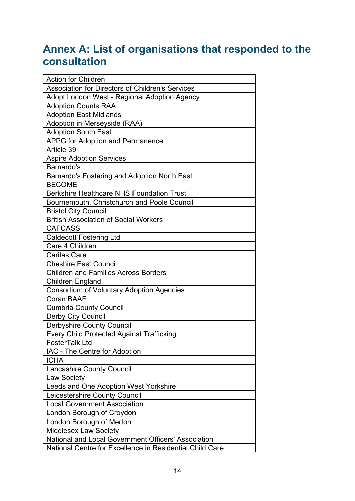# <span id="page-13-0"></span>**Annex A: List of organisations that responded to the consultation**

| <b>Action for Children</b>                               |
|----------------------------------------------------------|
| <b>Association for Directors of Children's Services</b>  |
| Adopt London West - Regional Adoption Agency             |
| <b>Adoption Counts RAA</b>                               |
| <b>Adoption East Midlands</b>                            |
| Adoption in Merseyside (RAA)                             |
| <b>Adoption South East</b>                               |
| <b>APPG for Adoption and Permanence</b>                  |
| Article 39                                               |
| <b>Aspire Adoption Services</b>                          |
| Barnardo's                                               |
| Barnardo's Fostering and Adoption North East             |
| <b>BECOME</b>                                            |
| <b>Berkshire Healthcare NHS Foundation Trust</b>         |
| Bournemouth, Christchurch and Poole Council              |
| <b>Bristol City Council</b>                              |
| <b>British Association of Social Workers</b>             |
| <b>CAFCASS</b>                                           |
| <b>Caldecott Fostering Ltd</b>                           |
| Care 4 Children                                          |
| <b>Caritas Care</b>                                      |
| <b>Cheshire East Council</b>                             |
| <b>Children and Families Across Borders</b>              |
| <b>Children England</b>                                  |
| <b>Consortium of Voluntary Adoption Agencies</b>         |
| <b>CoramBAAF</b>                                         |
| <b>Cumbria County Council</b>                            |
| <b>Derby City Council</b>                                |
| <b>Derbyshire County Council</b>                         |
| <b>Every Child Protected Against Trafficking</b>         |
| FosterTalk Ltd                                           |
| IAC - The Centre for Adoption                            |
| <b>ICHA</b>                                              |
| <b>Lancashire County Council</b>                         |
| <b>Law Society</b>                                       |
| Leeds and One Adoption West Yorkshire                    |
| Leicestershire County Council                            |
| <b>Local Government Association</b>                      |
| London Borough of Croydon                                |
| London Borough of Merton                                 |
| <b>Middlesex Law Society</b>                             |
| National and Local Government Officers' Association      |
| National Centre for Excellence in Residential Child Care |
|                                                          |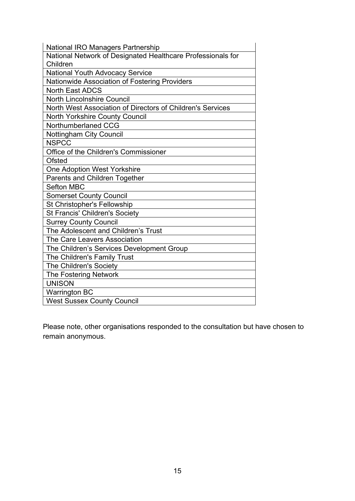| <b>National IRO Managers Partnership</b>                    |
|-------------------------------------------------------------|
| National Network of Designated Healthcare Professionals for |
| Children                                                    |
| <b>National Youth Advocacy Service</b>                      |
| Nationwide Association of Fostering Providers               |
| <b>North East ADCS</b>                                      |
| <b>North Lincolnshire Council</b>                           |
| North West Association of Directors of Children's Services  |
| <b>North Yorkshire County Council</b>                       |
| Northumberlaned CCG                                         |
| <b>Nottingham City Council</b>                              |
| <b>NSPCC</b>                                                |
| Office of the Children's Commissioner                       |
| <b>Ofsted</b>                                               |
| One Adoption West Yorkshire                                 |
| Parents and Children Together                               |
| <b>Sefton MBC</b>                                           |
| <b>Somerset County Council</b>                              |
|                                                             |
| <b>St Christopher's Fellowship</b>                          |
| <b>St Francis' Children's Society</b>                       |
| <b>Surrey County Council</b>                                |
| The Adolescent and Children's Trust                         |
| The Care Leavers Association                                |
| The Children's Services Development Group                   |
| The Children's Family Trust                                 |
| The Children's Society                                      |
| <b>The Fostering Network</b>                                |
| <b>UNISON</b>                                               |
| <b>Warrington BC</b>                                        |

Please note, other organisations responded to the consultation but have chosen to remain anonymous.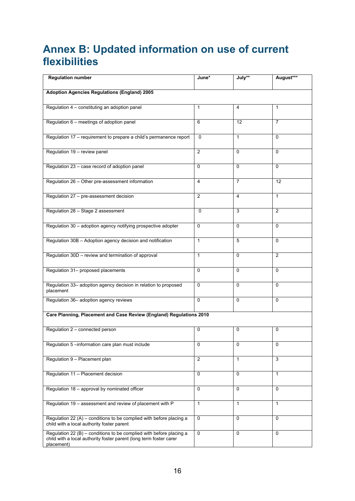# <span id="page-15-0"></span>**Annex B: Updated information on use of current flexibilities**

| <b>Regulation number</b>                                                                                                                                 | June*          | July**       | August***      |
|----------------------------------------------------------------------------------------------------------------------------------------------------------|----------------|--------------|----------------|
| <b>Adoption Agencies Regulations (England) 2005</b>                                                                                                      |                |              |                |
|                                                                                                                                                          |                |              |                |
| Regulation 4 - constituting an adoption panel                                                                                                            | 1              | 4            | 1              |
| Regulation 6 - meetings of adoption panel                                                                                                                | 6              | 12           | $\overline{7}$ |
| Regulation 17 - requirement to prepare a child's permanence report                                                                                       | $\Omega$       | $\mathbf{1}$ | 0              |
| Regulation 19 - review panel                                                                                                                             | $\overline{2}$ | $\mathbf 0$  | $\Omega$       |
| Regulation 23 - case record of adoption panel                                                                                                            | 0              | $\mathbf 0$  | 0              |
| Regulation 26 - Other pre-assessment information                                                                                                         | 4              | 7            | 12             |
| Regulation 27 - pre-assessment decision                                                                                                                  | $\overline{2}$ | 4            | $\mathbf{1}$   |
| Regulation 28 - Stage 2 assessment                                                                                                                       | $\Omega$       | 3            | 2              |
| Regulation 30 - adoption agency notifying prospective adopter                                                                                            | $\Omega$       | $\Omega$     | 0              |
| Regulation 30B - Adoption agency decision and notification                                                                                               | $\mathbf{1}$   | 5            | 0              |
| Regulation 30D - review and termination of approval                                                                                                      | $\mathbf{1}$   | $\Omega$     | 2              |
| Regulation 31- proposed placements                                                                                                                       | 0              | $\Omega$     | $\Omega$       |
| Regulation 33- adoption agency decision in relation to proposed<br>placement                                                                             | $\mathbf 0$    | $\Omega$     | $\Omega$       |
| Regulation 36- adoption agency reviews                                                                                                                   | $\mathbf 0$    | $\mathbf 0$  | 0              |
| Care Planning, Placement and Case Review (England) Regulations 2010                                                                                      |                |              |                |
| Regulation 2 - connected person                                                                                                                          | 0              | 0            | 0              |
| Regulation 5 -information care plan must include                                                                                                         | $\mathbf 0$    | $\Omega$     | 0              |
| Regulation 9 - Placement plan                                                                                                                            | $\overline{2}$ | $\mathbf{1}$ | 3              |
| Regulation 11 - Placement decision                                                                                                                       | 0              | $\mathbf 0$  | $\mathbf{1}$   |
| Regulation 18 - approval by nominated officer                                                                                                            | 0              | $\mathbf 0$  | 0              |
| Regulation 19 - assessment and review of placement with P                                                                                                | $\mathbf{1}$   | $\mathbf{1}$ | $\mathbf{1}$   |
| Regulation 22 (A) - conditions to be complied with before placing a<br>child with a local authority foster parent                                        | $\Omega$       | $\mathbf 0$  | $\Omega$       |
| Regulation $22(B)$ – conditions to be complied with before placing a<br>child with a local authority foster parent (long term foster carer<br>placement) | $\mathbf 0$    | $\mathbf 0$  | 0              |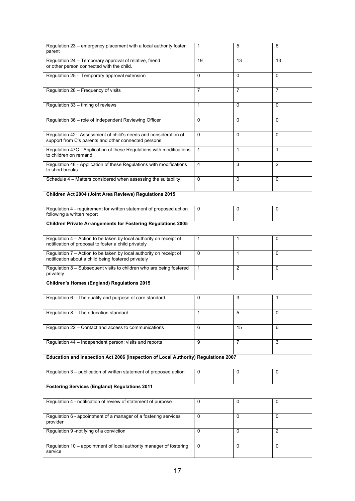| Regulation 23 - emergency placement with a local authority foster<br>parent                                                             | $\mathbf{1}$   | 5              | 6              |  |
|-----------------------------------------------------------------------------------------------------------------------------------------|----------------|----------------|----------------|--|
| Regulation 24 - Temporary approval of relative, friend<br>or other person connected with the child.                                     | 19             | 13             | 13             |  |
| Regulation 25 - Temporary approval extension                                                                                            | 0              | $\Omega$       | $\Omega$       |  |
| Regulation 28 - Frequency of visits                                                                                                     | $\overline{7}$ | $\overline{7}$ | $\overline{7}$ |  |
| Regulation 33 - timing of reviews                                                                                                       | $\mathbf{1}$   | $\Omega$       | $\Omega$       |  |
| Regulation 36 - role of Independent Reviewing Officer                                                                                   | $\Omega$       | $\Omega$       | $\Omega$       |  |
| Regulation 42- Assessment of child's needs and consideration of<br>support from C's parents and other connected persons                 | 0              | $\Omega$       | $\Omega$       |  |
| Regulation 47C - Application of these Regulations with modifications<br>to children on remand                                           | $\mathbf{1}$   | $\mathbf{1}$   | $\mathbf{1}$   |  |
| Regulation 48 - Application of these Regulations with modifications<br>to short breaks                                                  | 4              | 3              | 2              |  |
| Schedule 4 - Matters considered when assessing the suitability                                                                          | 0              | $\mathbf 0$    | 0              |  |
| Children Act 2004 (Joint Area Reviews) Regulations 2015                                                                                 |                |                |                |  |
| Regulation 4 - requirement for written statement of proposed action<br>following a written report                                       | $\Omega$       | 0              | $\Omega$       |  |
| <b>Children Private Arrangements for Fostering Regulations 2005</b>                                                                     |                |                |                |  |
| Regulation $\overline{4}$ - Action to be taken by local authority on receipt of<br>notification of proposal to foster a child privately | $\mathbf{1}$   | $\mathbf{1}$   | $\Omega$       |  |
| Regulation 7 - Action to be taken by local authority on receipt of<br>notification about a child being fostered privately               | 0              | 1              | $\Omega$       |  |
| Regulation 8 - Subsequent visits to children who are being fostered<br>privately                                                        | $\mathbf{1}$   | 2              | $\Omega$       |  |
| Children's Homes (England) Regulations 2015                                                                                             |                |                |                |  |
| Regulation 6 - The quality and purpose of care standard                                                                                 | 0              | 3              | 1              |  |
| Regulation 8 - The education standard                                                                                                   | 1              | 5              | 0              |  |
| Regulation 22 - Contact and access to communications                                                                                    | 6              | 15             | 6              |  |
| Regulation 44 - Independent person: visits and reports                                                                                  | 9              | $\overline{7}$ | 3              |  |
| Education and Inspection Act 2006 (Inspection of Local Authority) Regulations 2007                                                      |                |                |                |  |
| Regulation 3 - publication of written statement of proposed action                                                                      | 0              | 0              | 0              |  |
| <b>Fostering Services (England) Regulations 2011</b>                                                                                    |                |                |                |  |
| Regulation 4 - notification of review of statement of purpose                                                                           | 0              | 0              | $\Omega$       |  |
| Regulation 6 - appointment of a manager of a fostering services<br>provider                                                             | $\Omega$       | 0              | $\Omega$       |  |
| Regulation 9 -notifying of a conviction                                                                                                 | 0              | $\Omega$       | 2              |  |
| Regulation 10 - appointment of local authority manager of fostering<br>service                                                          | 0              | $\mathbf 0$    | 0              |  |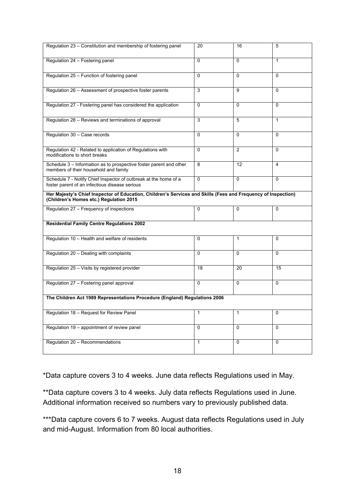| Regulation 23 - Constitution and membership of fostering panel                                                                                           | 20           | 16             | 5                       |  |  |
|----------------------------------------------------------------------------------------------------------------------------------------------------------|--------------|----------------|-------------------------|--|--|
|                                                                                                                                                          |              |                |                         |  |  |
| Regulation 24 - Fostering panel                                                                                                                          | $\Omega$     | $\Omega$       | $\mathbf{1}$            |  |  |
| Regulation 25 - Function of fostering panel                                                                                                              | $\Omega$     | $\Omega$       | $\Omega$                |  |  |
| Regulation 26 - Assessment of prospective foster parents                                                                                                 | 3            | 9              | $\Omega$                |  |  |
| Regulation 27 - Fostering panel has considered the application                                                                                           | 0            | $\Omega$       | $\Omega$                |  |  |
| Regulation 28 – Reviews and terminations of approval                                                                                                     | 3            | 5              | $\mathbf{1}$            |  |  |
| Regulation 30 - Case records                                                                                                                             | $\Omega$     | $\Omega$       | $\Omega$                |  |  |
| Regulation 42 - Related to application of Regulations with<br>modifications to short breaks                                                              | $\Omega$     | 2              | $\Omega$                |  |  |
| Schedule 3 - Information as to prospective foster parent and other<br>members of their household and family                                              | 8            | 12             | $\overline{\mathbf{4}}$ |  |  |
| Schedule 7 - Notify Chief Inspector of outbreak at the home of a<br>foster parent of an infectious disease serious                                       | $\Omega$     | $\Omega$       | 0                       |  |  |
| Her Majesty's Chief Inspector of Education, Children's Services and Skills (Fees and Frequency of Inspection)<br>(Children's Homes etc.) Regulation 2015 |              |                |                         |  |  |
| Regulation 27 - Frequency of inspections                                                                                                                 | $\Omega$     | 0              | 0                       |  |  |
| <b>Residential Family Centre Regulations 2002</b>                                                                                                        |              |                |                         |  |  |
| Regulation 10 - Health and welfare of residents                                                                                                          | $\Omega$     | $\mathbf{1}$   | 0                       |  |  |
| Regulation 20 - Dealing with complaints                                                                                                                  | $\Omega$     | $\Omega$       | $\Omega$                |  |  |
| Regulation 25 - Visits by registered provider                                                                                                            | 18           | 20             | 15                      |  |  |
| Regulation 27 - Fostering panel approval                                                                                                                 | $\Omega$     | $\mathbf 0$    | $\overline{0}$          |  |  |
| The Children Act 1989 Representations Procedure (England) Regulations 2006                                                                               |              |                |                         |  |  |
| Regulation 18 - Request for Review Panel                                                                                                                 | $\mathbf{1}$ | $\mathbf{1}$   | 0                       |  |  |
| Regulation 19 - appointment of review panel                                                                                                              | $\Omega$     | $\overline{0}$ | $\overline{0}$          |  |  |
| Regulation 20 - Recommendations                                                                                                                          | $\mathbf{1}$ | $\mathbf 0$    | 0                       |  |  |

\*Data capture covers 3 to 4 weeks. June data reflects Regulations used in May.

\*\*Data capture covers 3 to 4 weeks. July data reflects Regulations used in June. Additional information received so numbers vary to previously published data.

\*\*\*Data capture covers 6 to 7 weeks. August data reflects Regulations used in July and mid-August. Information from 80 local authorities.